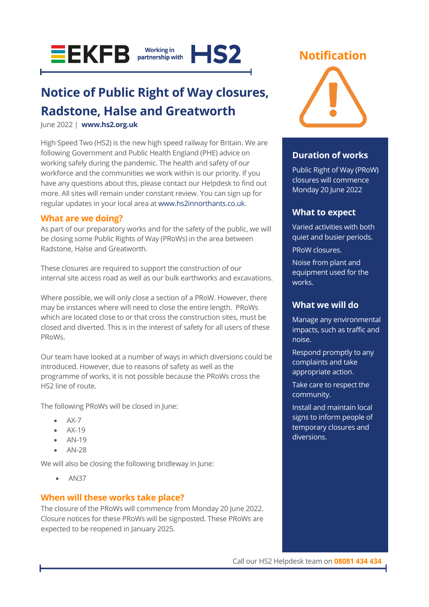



## **Notice of Public Right of Way closures, Radstone, Halse and Greatworth**

June 2022 | **[www.hs2.org.uk](http://www.hs2.org.uk/)**

High Speed Two (HS2) is the new high speed railway for Britain. We are following Government and Public Health England (PHE) advice on working safely during the pandemic. The health and safety of our workforce and the communities we work within is our priority. If you have any questions about this, please contact our Helpdesk to find out more. All sites will remain under constant review. You can sign up for regular updates in your local area at [www.hs2innorthants.co.uk.](http://www.hs2innorthants.co.uk/)

### **What are we doing?**

As part of our preparatory works and for the safety of the public, we will be closing some Public Rights of Way (PRoWs) in the area between Radstone, Halse and Greatworth.

These closures are required to support the construction of our internal site access road as well as our bulk earthworks and excavations.

Where possible, we will only close a section of a PRoW. However, there may be instances where will need to close the entire length. PRoWs which are located close to or that cross the construction sites, must be closed and diverted. This is in the interest of safety for all users of these PRoWs.

Our team have looked at a number of ways in which diversions could be introduced. However, due to reasons of safety as well as the programme of works, it is not possible because the PRoWs cross the HS2 line of route.

The following PRoWs will be closed in June:

- AX-7
- AX-19
- AN-19
- AN-28

We will also be closing the following bridleway in June:

• AN37

### **When will these works take place?**

The closure of the PRoWs will commence from Monday 20 June 2022. Closure notices for these PRoWs will be signposted. These PRoWs are expected to be reopened in January 2025.

### **Notification**



### **Duration of works**

Public Right of Way (PRoW) closures will commence Monday 20 June 2022

### **What to expect**

Varied activities with both quiet and busier periods.

PRoW closures.

Noise from plant and equipment used for the works.

### **What we will do**

Manage any environmental impacts, such as traffic and noise.

Respond promptly to any complaints and take appropriate action.

Take care to respect the community.

Install and maintain local signs to inform people of temporary closures and diversions.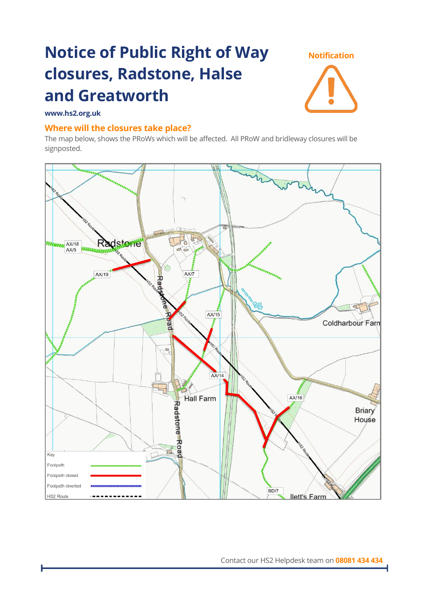# **Notice of Public Right of Way closures, Radstone, Halse and Greatworth**



### **www.hs2.org.uk**

### **Where will the closures take place?**

The map below, shows the PRoWs which will be affected. All PRoW and bridleway closures will be signposted.

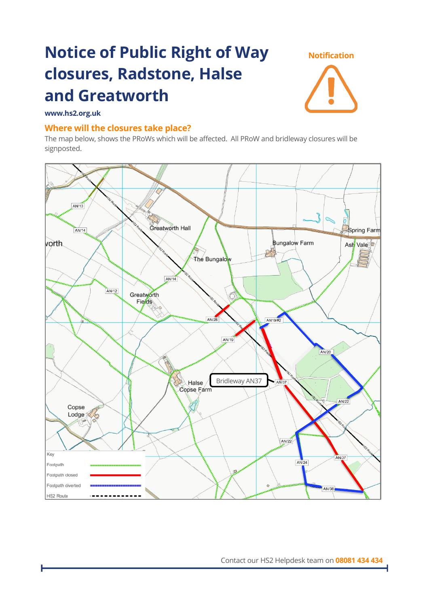# **Notice of Public Right of Way closures, Radstone, Halse and Greatworth**



### **www.hs2.org.uk**

### **Where will the closures take place?**

The map below, shows the PRoWs which will be affected. All PRoW and bridleway closures will be signposted.



Contact our HS2 Helpdesk team on **08081 434 434**